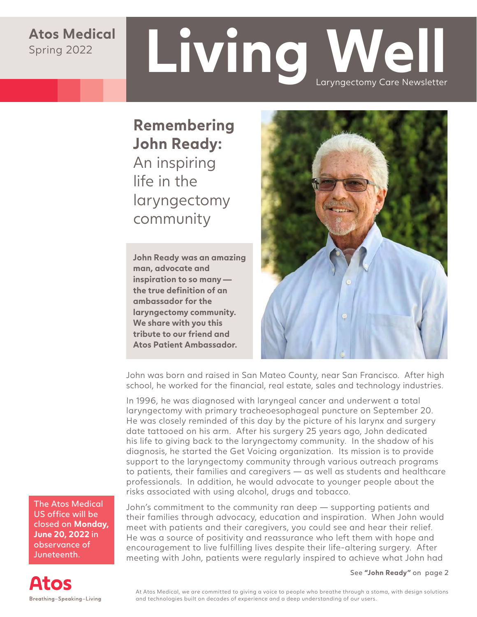#### **Atos Medical** Spring 2022

# **Living Well** Laryngectomy Care Newsletter

**Remembering John Ready:**  An inspiring life in the laryngectomy community

**John Ready was an amazing man, advocate and inspiration to so many the true definition of an ambassador for the laryngectomy community. We share with you this tribute to our friend and Atos Patient Ambassador.**



John was born and raised in San Mateo County, near San Francisco. After high school, he worked for the financial, real estate, sales and technology industries.

In 1996, he was diagnosed with laryngeal cancer and underwent a total laryngectomy with primary tracheoesophageal puncture on September 20. He was closely reminded of this day by the picture of his larynx and surgery date tattooed on his arm. After his surgery 25 years ago, John dedicated his life to giving back to the laryngectomy community. In the shadow of his diagnosis, he started the Get Voicing organization. Its mission is to provide support to the laryngectomy community through various outreach programs to patients, their families and caregivers — as well as students and healthcare professionals. In addition, he would advocate to younger people about the risks associated with using alcohol, drugs and tobacco.

The Atos Medical US office will be closed on **Monday, June 20, 2022** in observance of Juneteenth.

John's commitment to the community ran deep — supporting patients and their families through advocacy, education and inspiration. When John would meet with patients and their caregivers, you could see and hear their relief. He was a source of positivity and reassurance who left them with hope and encouragement to live fulfilling lives despite their life-altering surgery. After meeting with John, patients were regularly inspired to achieve what John had

See **"John Ready"** on page 2

**Atos** Breathing-Speaking-Living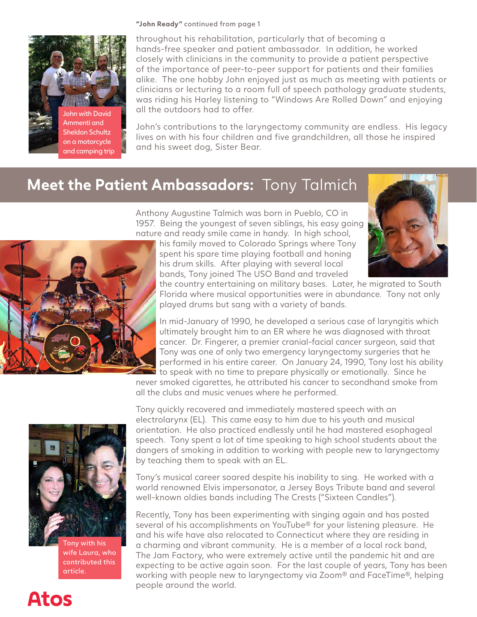#### **"John Ready"** continued from page 1



Ammenti and Sheldon Schultz on a motorcycle and camping trip throughout his rehabilitation, particularly that of becoming a hands-free speaker and patient ambassador. In addition, he worked closely with clinicians in the community to provide a patient perspective of the importance of peer-to-peer support for patients and their families alike. The one hobby John enjoyed just as much as meeting with patients or clinicians or lecturing to a room full of speech pathology graduate students, was riding his Harley listening to "Windows Are Rolled Down" and enjoying all the outdoors had to offer.

John's contributions to the laryngectomy community are endless. His legacy lives on with his four children and five grandchildren, all those he inspired and his sweet dog, Sister Bear.

#### **Meet the Patient Ambassadors:** Tony Talmich

Anthony Augustine Talmich was born in Pueblo, CO in 1957. Being the youngest of seven siblings, his easy going nature and ready smile came in handy. In high school,

his family moved to Colorado Springs where Tony spent his spare time playing football and honing his drum skills. After playing with several local bands, Tony joined The USO Band and traveled



the country entertaining on military bases. Later, he migrated to South Florida where musical opportunities were in abundance. Tony not only played drums but sang with a variety of bands.

In mid-January of 1990, he developed a serious case of laryngitis which ultimately brought him to an ER where he was diagnosed with throat cancer. Dr. Fingerer, a premier cranial-facial cancer surgeon, said that Tony was one of only two emergency laryngectomy surgeries that he performed in his entire career. On January 24, 1990, Tony lost his ability to speak with no time to prepare physically or emotionally. Since he

never smoked cigarettes, he attributed his cancer to secondhand smoke from all the clubs and music venues where he performed.



**Atos** 

Tony with his wife Laura, who contributed this article.

Tony quickly recovered and immediately mastered speech with an electrolarynx (EL). This came easy to him due to his youth and musical orientation. He also practiced endlessly until he had mastered esophageal speech. Tony spent a lot of time speaking to high school students about the dangers of smoking in addition to working with people new to laryngectomy by teaching them to speak with an EL.

Tony's musical career soared despite his inability to sing. He worked with a world renowned Elvis impersonator, a Jersey Boys Tribute band and several well-known oldies bands including The Crests ("Sixteen Candles").

Recently, Tony has been experimenting with singing again and has posted several of his accomplishments on YouTube® for your listening pleasure. He and his wife have also relocated to Connecticut where they are residing in a charming and vibrant community. He is a member of a local rock band, The Jam Factory, who were extremely active until the pandemic hit and are expecting to be active again soon. For the last couple of years, Tony has been working with people new to laryngectomy via Zoom® and FaceTime®, helping people around the world.

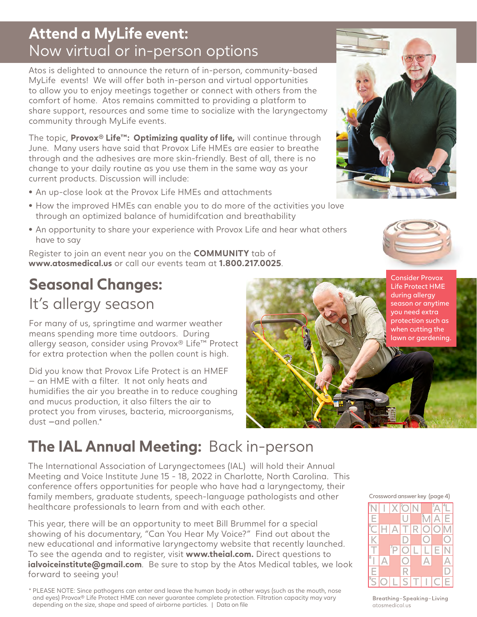## **Attend a MyLife event:**  Now virtual or in-person options

Atos is delighted to announce the return of in-person, community-based MyLife events! We will offer both in-person and virtual opportunities to allow you to enjoy meetings together or connect with others from the comfort of home. Atos remains committed to providing a platform to share support, resources and some time to socialize with the laryngectomy community through MyLife events.

The topic, **Provox® Life™: Optimizing quality of life,** will continue through June. Many users have said that Provox Life HMEs are easier to breathe through and the adhesives are more skin-friendly. Best of all, there is no change to your daily routine as you use them in the same way as your current products. Discussion will include:

- **•** An up-close look at the Provox Life HMEs and attachments
- **•** How the improved HMEs can enable you to do more of the activities you love through an optimized balance of humidifcation and breathability
- **•** An opportunity to share your experience with Provox Life and hear what others have to say

Register to join an event near you on the **COMMUNITY** tab of **www.atosmedical.us** or call our events team at **1.800.217.0025**.

## **Seasonal Changes:**  It's allergy season

For many of us, springtime and warmer weather means spending more time outdoors. During allergy season, consider using Provox® Life™ Protect for extra protection when the pollen count is high.

Did you know that Provox Life Protect is an HMEF — an HME with a filter. It not only heats and humidifies the air you breathe in to reduce coughing and mucus production, it also filters the air to protect you from viruses, bacteria, microorganisms, dust —and pollen.\*



# **The IAL Annual Meeting:** Back in-person

The International Association of Laryngectomees (IAL) will hold their Annual Meeting and Voice Institute June 15 - 18, 2022 in Charlotte, North Carolina. This conference offers opportunities for people who have had a laryngectomy, their family members, graduate students, speech-language pathologists and other healthcare professionals to learn from and with each other.

This year, there will be an opportunity to meet Bill Brummel for a special showing of his documentary, "Can You Hear My Voice?" Find out about the new educational and informative laryngectomy website that recently launched. To see the agenda and to register, visit **www.theial.com.** Direct questions to **ialvoiceinstitute@gmail.com.** Be sure to stop by the Atos Medical tables, we look forward to seeing you!

\* PLEASE NOTE: Since pathogens can enter and leave the human body in other ways (such as the mouth, nose and eyes) Provox® Life Protect HME can never guarantee complete protection. Filtration capacity may vary depending on the size, shape and speed of airborne particles. | Data on file







Breathing-Speaking-Living atosmedical.us